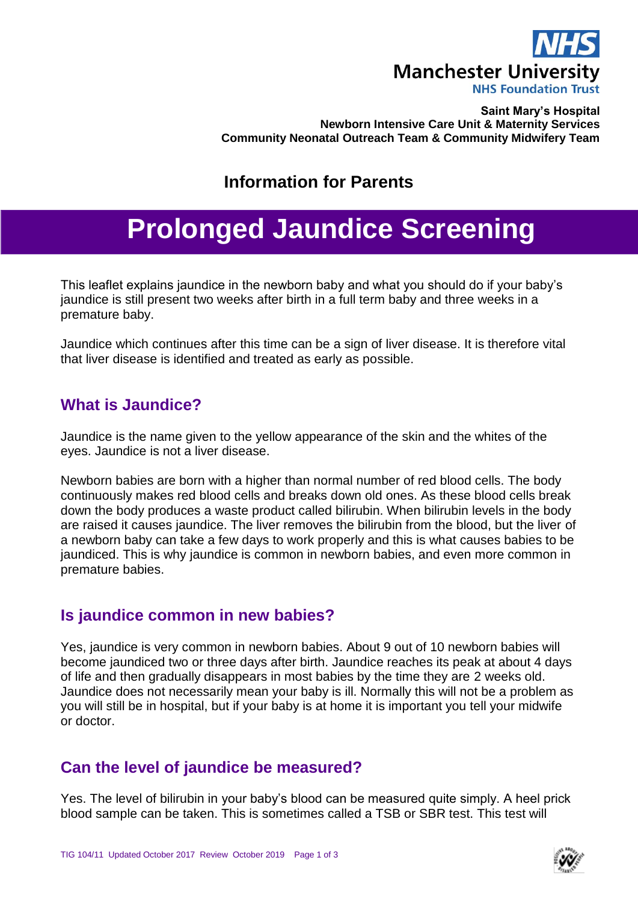

#### **Saint Mary's Hospital Newborn Intensive Care Unit & Maternity Services Community Neonatal Outreach Team & Community Midwifery Team**

## **Information for Parents**

# **Prolonged Jaundice Screening**

This leaflet explains jaundice in the newborn baby and what you should do if your baby's jaundice is still present two weeks after birth in a full term baby and three weeks in a premature baby.

Jaundice which continues after this time can be a sign of liver disease. It is therefore vital that liver disease is identified and treated as early as possible.

#### **What is Jaundice?**

Jaundice is the name given to the yellow appearance of the skin and the whites of the eyes. Jaundice is not a liver disease.

Newborn babies are born with a higher than normal number of red blood cells. The body continuously makes red blood cells and breaks down old ones. As these blood cells break down the body produces a waste product called bilirubin. When bilirubin levels in the body are raised it causes jaundice. The liver removes the bilirubin from the blood, but the liver of a newborn baby can take a few days to work properly and this is what causes babies to be jaundiced. This is why jaundice is common in newborn babies, and even more common in premature babies.

#### **Is jaundice common in new babies?**

Yes, jaundice is very common in newborn babies. About 9 out of 10 newborn babies will become jaundiced two or three days after birth. Jaundice reaches its peak at about 4 days of life and then gradually disappears in most babies by the time they are 2 weeks old. Jaundice does not necessarily mean your baby is ill. Normally this will not be a problem as you will still be in hospital, but if your baby is at home it is important you tell your midwife or doctor.

#### **Can the level of jaundice be measured?**

Yes. The level of bilirubin in your baby's blood can be measured quite simply. A heel prick blood sample can be taken. This is sometimes called a TSB or SBR test. This test will

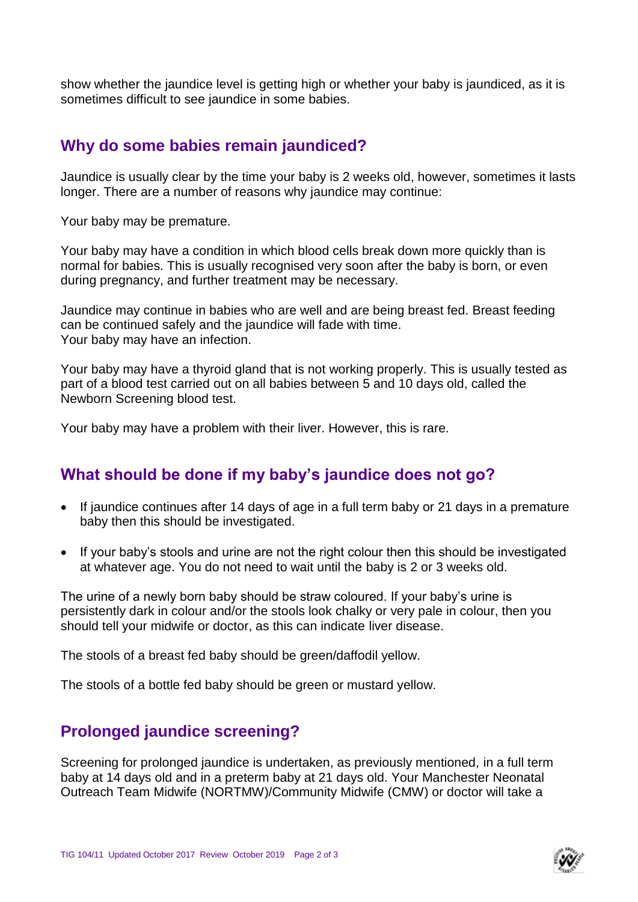show whether the jaundice level is getting high or whether your baby is jaundiced, as it is sometimes difficult to see jaundice in some babies.

#### **Why do some babies remain jaundiced?**

Jaundice is usually clear by the time your baby is 2 weeks old, however, sometimes it lasts longer. There are a number of reasons why jaundice may continue:

Your baby may be premature.

Your baby may have a condition in which blood cells break down more quickly than is normal for babies. This is usually recognised very soon after the baby is born, or even during pregnancy, and further treatment may be necessary.

Jaundice may continue in babies who are well and are being breast fed. Breast feeding can be continued safely and the jaundice will fade with time. Your baby may have an infection.

Your baby may have a thyroid gland that is not working properly. This is usually tested as part of a blood test carried out on all babies between 5 and 10 days old, called the Newborn Screening blood test.

Your baby may have a problem with their liver. However, this is rare.

### **What should be done if my baby's jaundice does not go?**

- If jaundice continues after 14 days of age in a full term baby or 21 days in a premature baby then this should be investigated.
- If your baby's stools and urine are not the right colour then this should be investigated at whatever age. You do not need to wait until the baby is 2 or 3 weeks old.

The urine of a newly born baby should be straw coloured. If your baby's urine is persistently dark in colour and/or the stools look chalky or very pale in colour, then you should tell your midwife or doctor, as this can indicate liver disease.

The stools of a breast fed baby should be green/daffodil yellow.

The stools of a bottle fed baby should be green or mustard yellow.

#### **Prolonged jaundice screening?**

Screening for prolonged jaundice is undertaken, as previously mentioned, in a full term baby at 14 days old and in a preterm baby at 21 days old. Your Manchester Neonatal Outreach Team Midwife (NORTMW)/Community Midwife (CMW) or doctor will take a